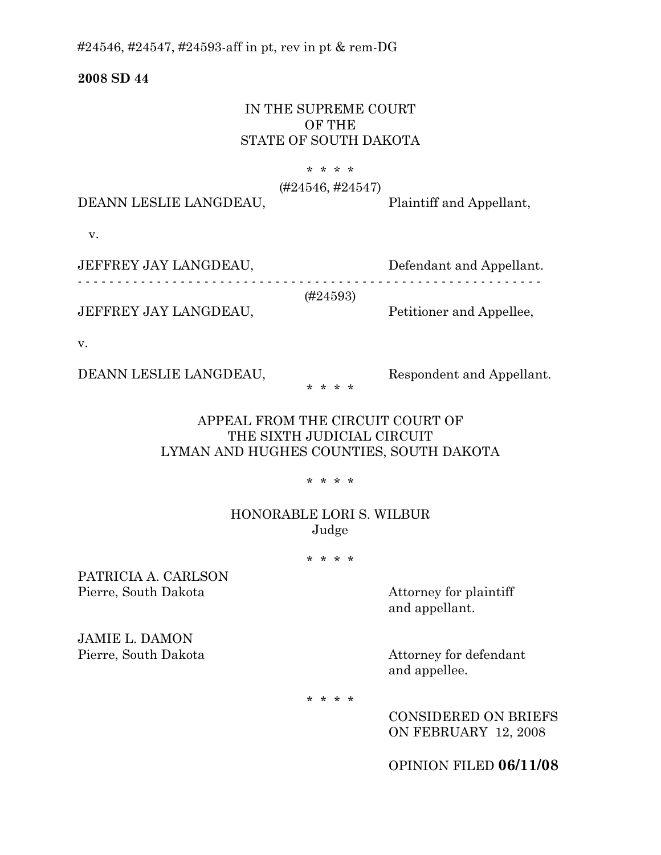#24546, #24547, #24593-aff in pt, rev in pt & rem-DG

**2008 SD 44** 

## IN THE SUPREME COURT OF THE STATE OF SOUTH DAKOTA

### \* \* \* \*

#### (#24546, #24547)

DEANN LESLIE LANGDEAU, Plaintiff and Appellant,

v.

| JEFFREY JAY LANGDEAU, | Defendant and Appellant. |
|-----------------------|--------------------------|
|                       | (#24593)                 |
|                       |                          |
| JEFFREY JAY LANGDEAU, | Petitioner and Appellee, |

v.

DEANN LESLIE LANGDEAU, Respondent and Appellant.

APPEAL FROM THE CIRCUIT COURT OF THE SIXTH JUDICIAL CIRCUIT LYMAN AND HUGHES COUNTIES, SOUTH DAKOTA

\* \* \* \*

\* \* \* \*

## HONORABLE LORI S. WILBUR Judge

\* \* \* \*

PATRICIA A. CARLSON Pierre, South Dakota Attorney for plaintiff

and appellant.

JAMIE L. DAMON Pierre, South Dakota Attorney for defendant

and appellee.

\* \* \* \*

CONSIDERED ON BRIEFS ON FEBRUARY 12, 2008

OPINION FILED **06/11/08**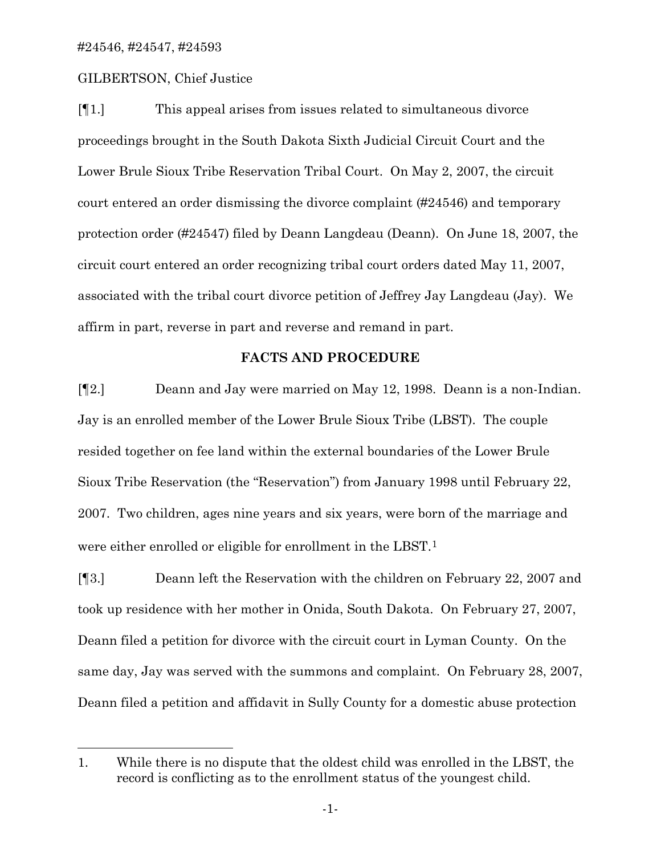$\overline{a}$ 

### GILBERTSON, Chief Justice

[¶1.] This appeal arises from issues related to simultaneous divorce proceedings brought in the South Dakota Sixth Judicial Circuit Court and the Lower Brule Sioux Tribe Reservation Tribal Court. On May 2, 2007, the circuit court entered an order dismissing the divorce complaint (#24546) and temporary protection order (#24547) filed by Deann Langdeau (Deann). On June 18, 2007, the circuit court entered an order recognizing tribal court orders dated May 11, 2007, associated with the tribal court divorce petition of Jeffrey Jay Langdeau (Jay). We affirm in part, reverse in part and reverse and remand in part.

### **FACTS AND PROCEDURE**

[¶2.] Deann and Jay were married on May 12, 1998. Deann is a non-Indian. Jay is an enrolled member of the Lower Brule Sioux Tribe (LBST). The couple resided together on fee land within the external boundaries of the Lower Brule Sioux Tribe Reservation (the "Reservation") from January 1998 until February 22, 2007. Two children, ages nine years and six years, were born of the marriage and were either enrolled or eligible for enrollment in the LBST.[1](#page-1-0)

[¶3.] Deann left the Reservation with the children on February 22, 2007 and took up residence with her mother in Onida, South Dakota. On February 27, 2007, Deann filed a petition for divorce with the circuit court in Lyman County. On the same day, Jay was served with the summons and complaint. On February 28, 2007, Deann filed a petition and affidavit in Sully County for a domestic abuse protection

<span id="page-1-0"></span><sup>1.</sup> While there is no dispute that the oldest child was enrolled in the LBST, the record is conflicting as to the enrollment status of the youngest child.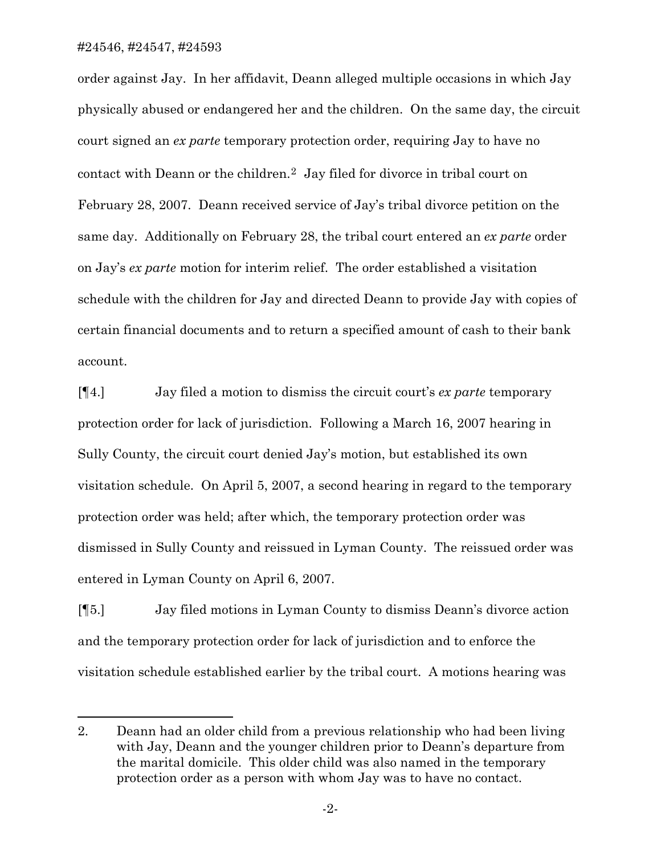$\overline{a}$ 

order against Jay. In her affidavit, Deann alleged multiple occasions in which Jay physically abused or endangered her and the children. On the same day, the circuit court signed an *ex parte* temporary protection order, requiring Jay to have no contact with Deann or the children.[2](#page-2-0) Jay filed for divorce in tribal court on February 28, 2007. Deann received service of Jay's tribal divorce petition on the same day. Additionally on February 28, the tribal court entered an *ex parte* order on Jay's *ex parte* motion for interim relief. The order established a visitation schedule with the children for Jay and directed Deann to provide Jay with copies of certain financial documents and to return a specified amount of cash to their bank account.

[¶4.] Jay filed a motion to dismiss the circuit court's *ex parte* temporary protection order for lack of jurisdiction. Following a March 16, 2007 hearing in Sully County, the circuit court denied Jay's motion, but established its own visitation schedule. On April 5, 2007, a second hearing in regard to the temporary protection order was held; after which, the temporary protection order was dismissed in Sully County and reissued in Lyman County. The reissued order was entered in Lyman County on April 6, 2007.

[¶5.] Jay filed motions in Lyman County to dismiss Deann's divorce action and the temporary protection order for lack of jurisdiction and to enforce the visitation schedule established earlier by the tribal court. A motions hearing was

<span id="page-2-0"></span><sup>2.</sup> Deann had an older child from a previous relationship who had been living with Jay, Deann and the younger children prior to Deann's departure from the marital domicile. This older child was also named in the temporary protection order as a person with whom Jay was to have no contact.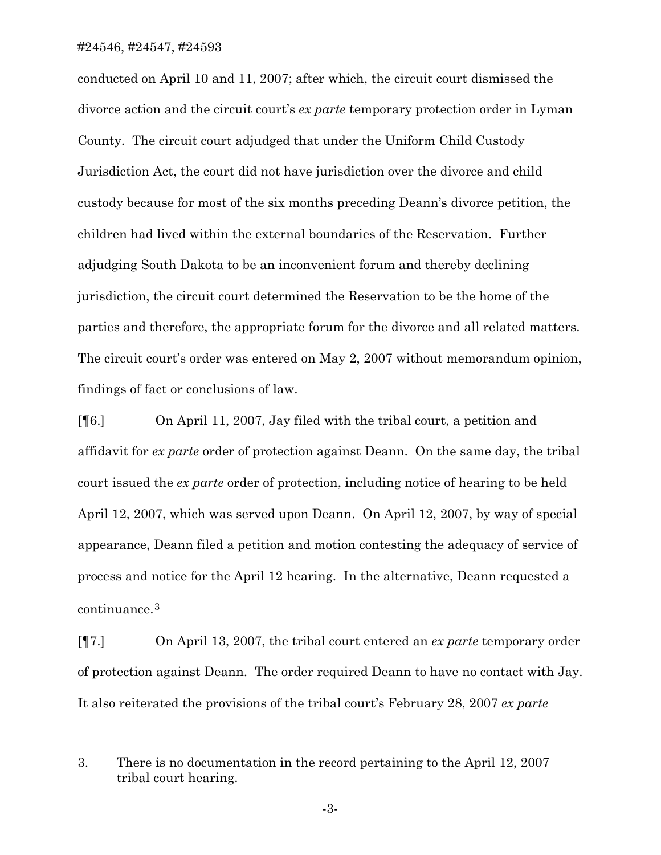$\overline{a}$ 

conducted on April 10 and 11, 2007; after which, the circuit court dismissed the divorce action and the circuit court's *ex parte* temporary protection order in Lyman County. The circuit court adjudged that under the Uniform Child Custody Jurisdiction Act, the court did not have jurisdiction over the divorce and child custody because for most of the six months preceding Deann's divorce petition, the children had lived within the external boundaries of the Reservation. Further adjudging South Dakota to be an inconvenient forum and thereby declining jurisdiction, the circuit court determined the Reservation to be the home of the parties and therefore, the appropriate forum for the divorce and all related matters. The circuit court's order was entered on May 2, 2007 without memorandum opinion, findings of fact or conclusions of law.

[¶6.] On April 11, 2007, Jay filed with the tribal court, a petition and affidavit for *ex parte* order of protection against Deann. On the same day, the tribal court issued the *ex parte* order of protection, including notice of hearing to be held April 12, 2007, which was served upon Deann. On April 12, 2007, by way of special appearance, Deann filed a petition and motion contesting the adequacy of service of process and notice for the April 12 hearing. In the alternative, Deann requested a continuance.[3](#page-3-0)

[¶7.] On April 13, 2007, the tribal court entered an *ex parte* temporary order of protection against Deann. The order required Deann to have no contact with Jay. It also reiterated the provisions of the tribal court's February 28, 2007 *ex parte*

<span id="page-3-0"></span><sup>3.</sup> There is no documentation in the record pertaining to the April 12, 2007 tribal court hearing.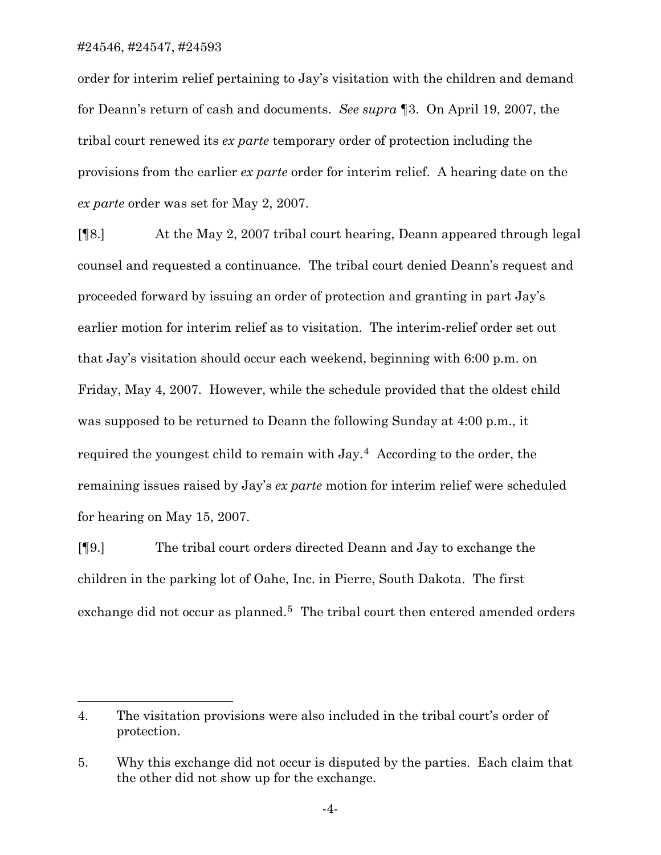$\overline{a}$ 

order for interim relief pertaining to Jay's visitation with the children and demand for Deann's return of cash and documents. *See supra* ¶3. On April 19, 2007, the tribal court renewed its *ex parte* temporary order of protection including the provisions from the earlier *ex parte* order for interim relief. A hearing date on the *ex parte* order was set for May 2, 2007.

[¶8.] At the May 2, 2007 tribal court hearing, Deann appeared through legal counsel and requested a continuance. The tribal court denied Deann's request and proceeded forward by issuing an order of protection and granting in part Jay's earlier motion for interim relief as to visitation. The interim-relief order set out that Jay's visitation should occur each weekend, beginning with 6:00 p.m. on Friday, May 4, 2007. However, while the schedule provided that the oldest child was supposed to be returned to Deann the following Sunday at 4:00 p.m., it required the youngest child to remain with Jay.[4](#page-4-0) According to the order, the remaining issues raised by Jay's *ex parte* motion for interim relief were scheduled for hearing on May 15, 2007.

[¶9.] The tribal court orders directed Deann and Jay to exchange the children in the parking lot of Oahe, Inc. in Pierre, South Dakota. The first exchange did not occur as planned.<sup>[5](#page-4-1)</sup> The tribal court then entered amended orders

<span id="page-4-0"></span><sup>4.</sup> The visitation provisions were also included in the tribal court's order of protection.

<span id="page-4-1"></span><sup>5.</sup> Why this exchange did not occur is disputed by the parties. Each claim that the other did not show up for the exchange.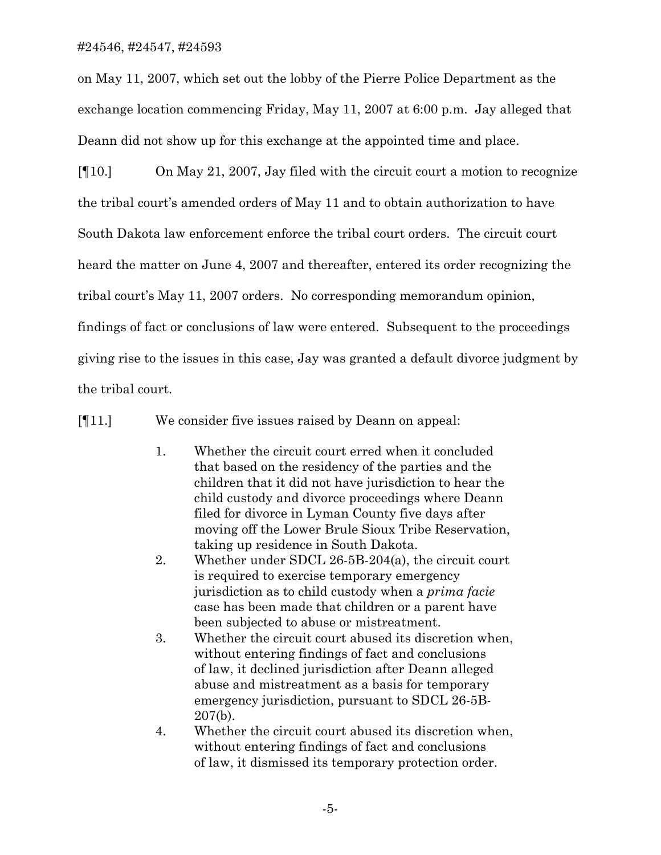on May 11, 2007, which set out the lobby of the Pierre Police Department as the exchange location commencing Friday, May 11, 2007 at 6:00 p.m. Jay alleged that Deann did not show up for this exchange at the appointed time and place.

[¶10.] On May 21, 2007, Jay filed with the circuit court a motion to recognize the tribal court's amended orders of May 11 and to obtain authorization to have South Dakota law enforcement enforce the tribal court orders. The circuit court heard the matter on June 4, 2007 and thereafter, entered its order recognizing the tribal court's May 11, 2007 orders. No corresponding memorandum opinion, findings of fact or conclusions of law were entered. Subsequent to the proceedings giving rise to the issues in this case, Jay was granted a default divorce judgment by the tribal court.

[¶11.] We consider five issues raised by Deann on appeal:

- 1. Whether the circuit court erred when it concluded that based on the residency of the parties and the children that it did not have jurisdiction to hear the child custody and divorce proceedings where Deann filed for divorce in Lyman County five days after moving off the Lower Brule Sioux Tribe Reservation, taking up residence in South Dakota.
- 2. Whether under SDCL 26-5B-204(a), the circuit court is required to exercise temporary emergency jurisdiction as to child custody when a *prima facie* case has been made that children or a parent have been subjected to abuse or mistreatment.
- 3. Whether the circuit court abused its discretion when, without entering findings of fact and conclusions of law, it declined jurisdiction after Deann alleged abuse and mistreatment as a basis for temporary emergency jurisdiction, pursuant to SDCL 26-5B- 207(b).
- 4. Whether the circuit court abused its discretion when, without entering findings of fact and conclusions of law, it dismissed its temporary protection order.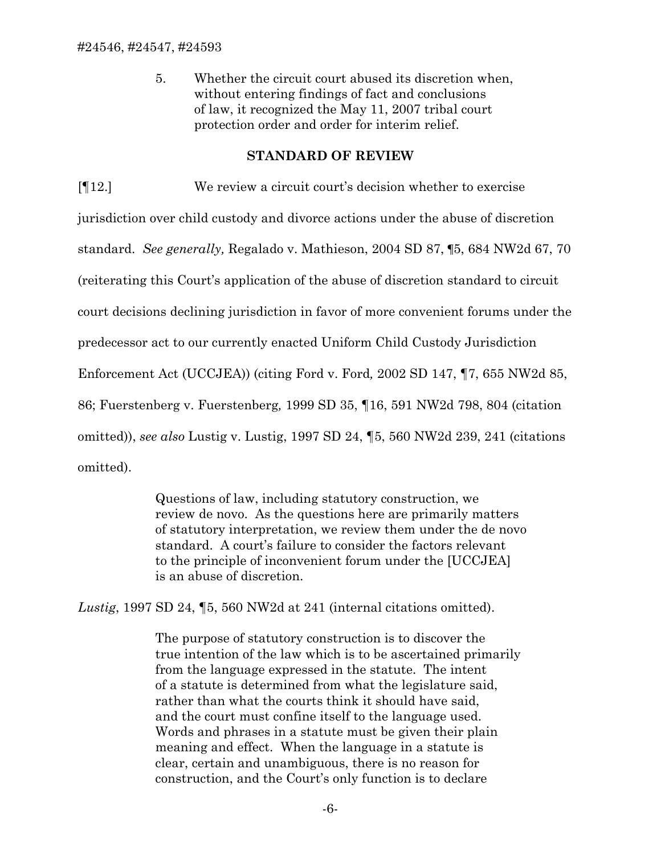5. Whether the circuit court abused its discretion when, without entering findings of fact and conclusions of law, it recognized the May 11, 2007 tribal court protection order and order for interim relief.

#### **STANDARD OF REVIEW**

[¶12.] We review a circuit court's decision whether to exercise

jurisdiction over child custody and divorce actions under the abuse of discretion standard. *See generally,* Regalado v. Mathieson, 2004 SD 87, ¶5, 684 NW2d 67, 70 (reiterating this Court's application of the abuse of discretion standard to circuit court decisions declining jurisdiction in favor of more convenient forums under the predecessor act to our currently enacted Uniform Child Custody Jurisdiction Enforcement Act (UCCJEA)) (citing Ford v. Ford*,* 2002 SD 147, ¶7, 655 NW2d 85, 86; Fuerstenberg v. Fuerstenberg*,* 1999 SD 35, ¶16, 591 NW2d 798, 804 (citation omitted)), *see also* Lustig v. Lustig, 1997 SD 24, ¶5, 560 NW2d 239, 241 (citations omitted).

> Questions of law, including statutory construction, we review de novo. As the questions here are primarily matters of statutory interpretation, we review them under the de novo standard. A court's failure to consider the factors relevant to the principle of inconvenient forum under the [UCCJEA] is an abuse of discretion.

*Lustig*, 1997 SD 24, ¶5, 560 NW2d at 241 (internal citations omitted).

The purpose of statutory construction is to discover the true intention of the law which is to be ascertained primarily from the language expressed in the statute. The intent of a statute is determined from what the legislature said, rather than what the courts think it should have said, and the court must confine itself to the language used. Words and phrases in a statute must be given their plain meaning and effect. When the language in a statute is clear, certain and unambiguous, there is no reason for construction, and the Court's only function is to declare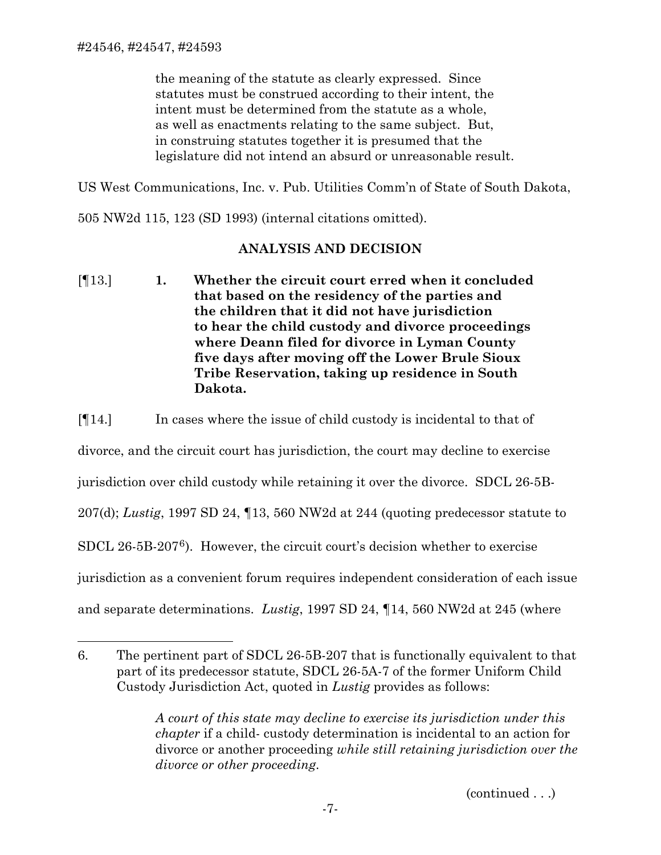$\overline{a}$ 

the meaning of the statute as clearly expressed. Since statutes must be construed according to their intent, the intent must be determined from the statute as a whole, as well as enactments relating to the same subject. But, in construing statutes together it is presumed that the legislature did not intend an absurd or unreasonable result.

US West Communications, Inc. v. Pub. Utilities Comm'n of State of South Dakota,

505 NW2d 115, 123 (SD 1993) (internal citations omitted).

## **ANALYSIS AND DECISION**

[¶13.] **1. Whether the circuit court erred when it concluded that based on the residency of the parties and the children that it did not have jurisdiction to hear the child custody and divorce proceedings where Deann filed for divorce in Lyman County five days after moving off the Lower Brule Sioux Tribe Reservation, taking up residence in South Dakota.** 

[¶14.] In cases where the issue of child custody is incidental to that of

divorce, and the circuit court has jurisdiction, the court may decline to exercise

jurisdiction over child custody while retaining it over the divorce. SDCL 26-5B-

207(d); *Lustig*, 1997 SD 24, ¶13, 560 NW2d at 244 (quoting predecessor statute to

SDCL 26-5B-207[6](#page-7-0)). However, the circuit court's decision whether to exercise

jurisdiction as a convenient forum requires independent consideration of each issue

and separate determinations. *Lustig*, 1997 SD 24, ¶14, 560 NW2d at 245 (where

*A court of this state may decline to exercise its jurisdiction under this chapter* if a child- custody determination is incidental to an action for divorce or another proceeding *while still retaining jurisdiction over the divorce or other proceeding*.

(continued . . .)

<span id="page-7-0"></span><sup>6.</sup> The pertinent part of SDCL 26-5B-207 that is functionally equivalent to that part of its predecessor statute, SDCL 26-5A-7 of the former Uniform Child Custody Jurisdiction Act, quoted in *Lustig* provides as follows: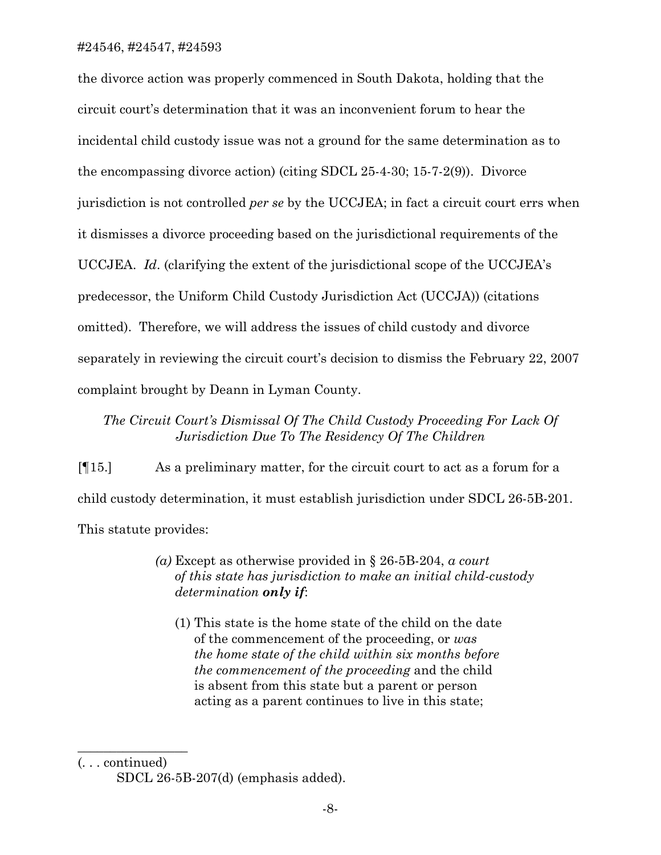the divorce action was properly commenced in South Dakota, holding that the circuit court's determination that it was an inconvenient forum to hear the incidental child custody issue was not a ground for the same determination as to the encompassing divorce action) (citing SDCL 25-4-30; 15-7-2(9)). Divorce jurisdiction is not controlled *per se* by the UCCJEA; in fact a circuit court errs when it dismisses a divorce proceeding based on the jurisdictional requirements of the UCCJEA. *Id*. (clarifying the extent of the jurisdictional scope of the UCCJEA's predecessor, the Uniform Child Custody Jurisdiction Act (UCCJA)) (citations omitted). Therefore, we will address the issues of child custody and divorce separately in reviewing the circuit court's decision to dismiss the February 22, 2007 complaint brought by Deann in Lyman County.

## *The Circuit Court's Dismissal Of The Child Custody Proceeding For Lack Of Jurisdiction Due To The Residency Of The Children*

[¶15.] As a preliminary matter, for the circuit court to act as a forum for a child custody determination, it must establish jurisdiction under SDCL 26-5B-201. This statute provides:

- *(a)* Except as otherwise provided in § 26-5B-204, *a court of this state has jurisdiction to make an initial child-custody determination only if*:
	- (1) This state is the home state of the child on the date of the commencement of the proceeding, or *was the home state of the child within six months before the commencement of the proceeding* and the child is absent from this state but a parent or person acting as a parent continues to live in this state;

(. . . continued)

 $\overline{\phantom{a}}$  , where  $\overline{\phantom{a}}$ 

SDCL 26-5B-207(d) (emphasis added).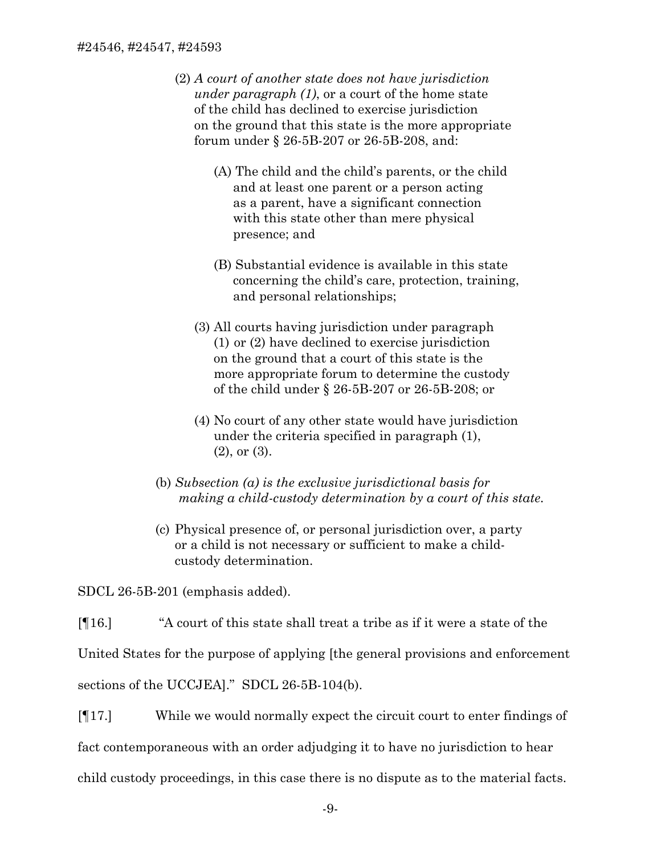- (2) *A court of another state does not have jurisdiction under paragraph (1)*, or a court of the home state of the child has declined to exercise jurisdiction on the ground that this state is the more appropriate forum under § 26-5B-207 or 26-5B-208, and:
	- (A) The child and the child's parents, or the child and at least one parent or a person acting as a parent, have a significant connection with this state other than mere physical presence; and
	- (B) Substantial evidence is available in this state concerning the child's care, protection, training, and personal relationships;
	- (3) All courts having jurisdiction under paragraph (1) or (2) have declined to exercise jurisdiction on the ground that a court of this state is the more appropriate forum to determine the custody of the child under § 26-5B-207 or 26-5B-208; or
	- (4) No court of any other state would have jurisdiction under the criteria specified in paragraph (1), (2), or (3).
- (b) *Subsection (a) is the exclusive jurisdictional basis for making a child-custody determination by a court of this state.*
- (c) Physical presence of, or personal jurisdiction over, a party or a child is not necessary or sufficient to make a child custody determination.

SDCL 26-5B-201 (emphasis added).

[¶16.] "A court of this state shall treat a tribe as if it were a state of the

United States for the purpose of applying [the general provisions and enforcement

sections of the UCCJEA]." SDCL 26-5B-104(b).

[¶17.] While we would normally expect the circuit court to enter findings of fact contemporaneous with an order adjudging it to have no jurisdiction to hear child custody proceedings, in this case there is no dispute as to the material facts.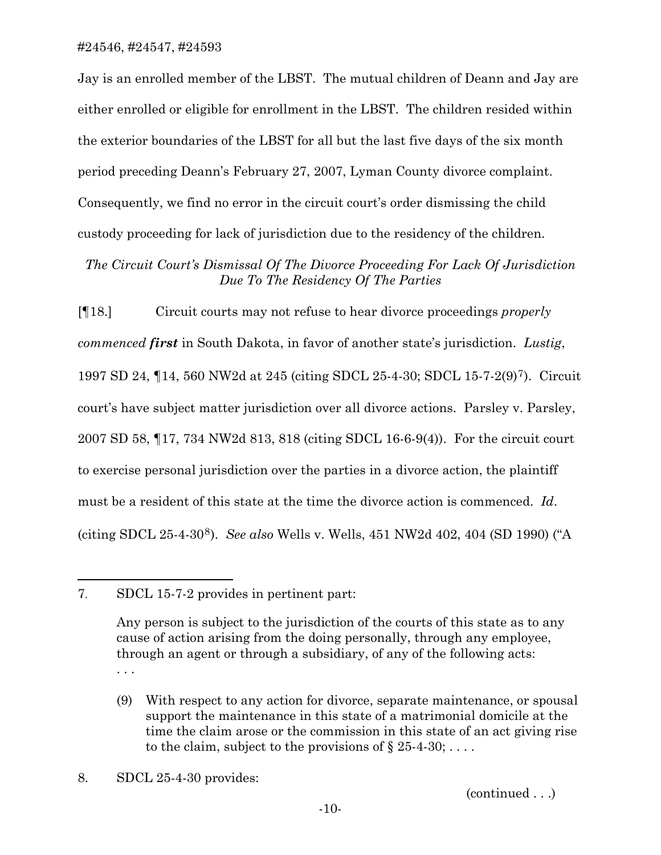Jay is an enrolled member of the LBST. The mutual children of Deann and Jay are either enrolled or eligible for enrollment in the LBST. The children resided within the exterior boundaries of the LBST for all but the last five days of the six month period preceding Deann's February 27, 2007, Lyman County divorce complaint. Consequently, we find no error in the circuit court's order dismissing the child custody proceeding for lack of jurisdiction due to the residency of the children.

# *The Circuit Court's Dismissal Of The Divorce Proceeding For Lack Of Jurisdiction Due To The Residency Of The Parties*

[¶18.] Circuit courts may not refuse to hear divorce proceedings *properly commenced first* in South Dakota, in favor of another state's jurisdiction. *Lustig*, 1997 SD 24, ¶14, 560 NW2d at 245 (citing SDCL 25-4-30; SDCL 15-7-2(9)[7](#page-10-0)). Circuit court's have subject matter jurisdiction over all divorce actions. Parsley v. Parsley, 2007 SD 58, ¶17, 734 NW2d 813, 818 (citing SDCL 16-6-9(4)). For the circuit court to exercise personal jurisdiction over the parties in a divorce action, the plaintiff must be a resident of this state at the time the divorce action is commenced. *Id*. (citing SDCL 25-4-30[8](#page-10-1)). *See also* Wells v. Wells, 451 NW2d 402, 404 (SD 1990) ("A

 $\overline{a}$ 

(continued . . .)

<span id="page-10-0"></span><sup>7.</sup> SDCL 15-7-2 provides in pertinent part:

Any person is subject to the jurisdiction of the courts of this state as to any cause of action arising from the doing personally, through any employee, through an agent or through a subsidiary, of any of the following acts: . . .

<sup>(9)</sup> With respect to any action for divorce, separate maintenance, or spousal support the maintenance in this state of a matrimonial domicile at the time the claim arose or the commission in this state of an act giving rise to the claim, subject to the provisions of  $\S 25-4-30; \ldots$ .

<span id="page-10-1"></span><sup>8.</sup> SDCL 25-4-30 provides: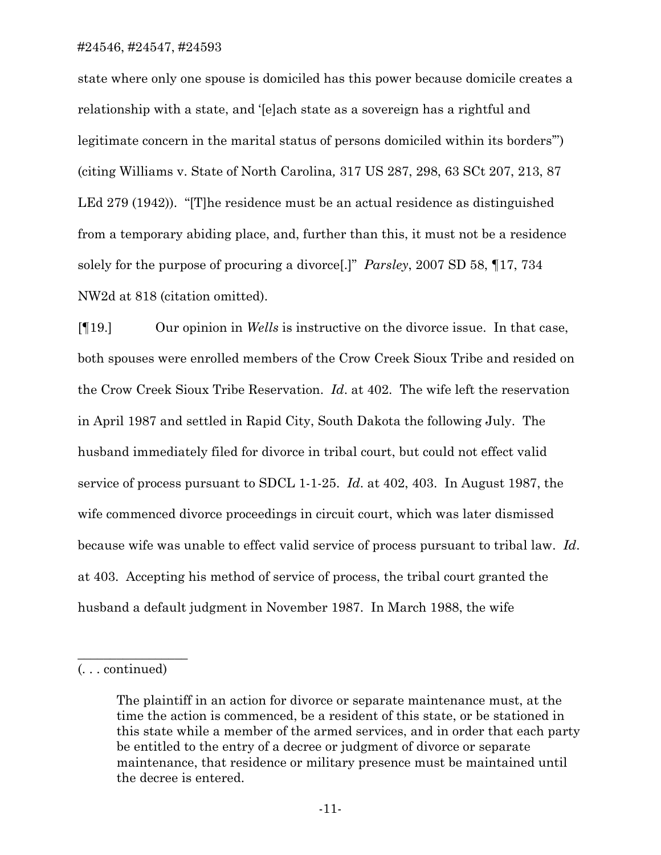state where only one spouse is domiciled has this power because domicile creates a relationship with a state, and '[e]ach state as a sovereign has a rightful and legitimate concern in the marital status of persons domiciled within its borders'") (citing Williams v. State of North Carolina*,* 317 US 287, 298, 63 SCt 207, 213, 87 LEd 279 (1942)). "[T]he residence must be an actual residence as distinguished from a temporary abiding place, and, further than this, it must not be a residence solely for the purpose of procuring a divorce[.]" *Parsley*, 2007 SD 58, ¶17, 734 NW2d at 818 (citation omitted).

[¶19.] Our opinion in *Wells* is instructive on the divorce issue. In that case, both spouses were enrolled members of the Crow Creek Sioux Tribe and resided on the Crow Creek Sioux Tribe Reservation. *Id*. at 402. The wife left the reservation in April 1987 and settled in Rapid City, South Dakota the following July. The husband immediately filed for divorce in tribal court, but could not effect valid service of process pursuant to SDCL 1-1-25. *Id*. at 402, 403. In August 1987, the wife commenced divorce proceedings in circuit court, which was later dismissed because wife was unable to effect valid service of process pursuant to tribal law. *Id*. at 403. Accepting his method of service of process, the tribal court granted the husband a default judgment in November 1987. In March 1988, the wife

 $\overline{\phantom{a}}$  , where  $\overline{\phantom{a}}$ 

<sup>(. . .</sup> continued)

The plaintiff in an action for divorce or separate maintenance must, at the time the action is commenced, be a resident of this state, or be stationed in this state while a member of the armed services, and in order that each party be entitled to the entry of a decree or judgment of divorce or separate maintenance, that residence or military presence must be maintained until the decree is entered.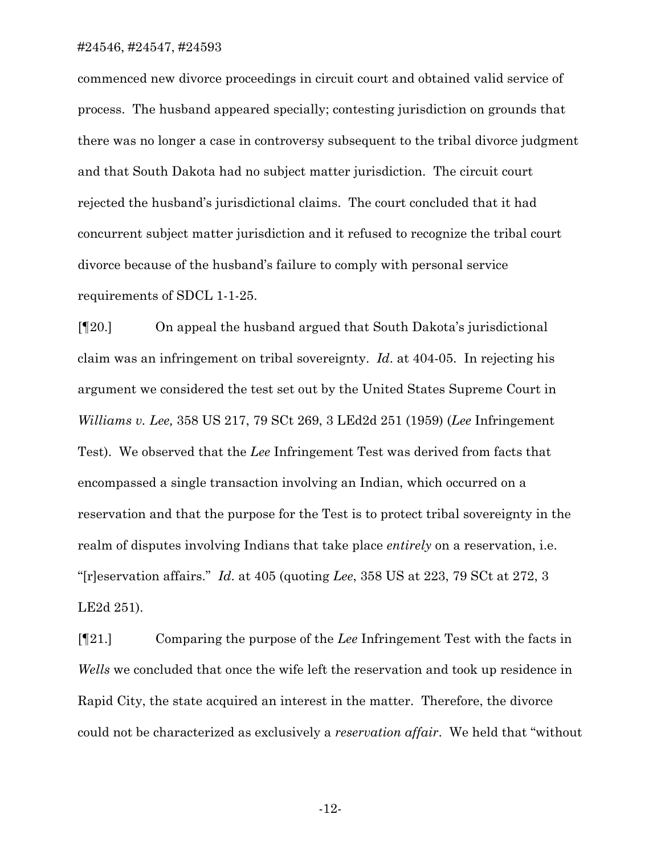commenced new divorce proceedings in circuit court and obtained valid service of process. The husband appeared specially; contesting jurisdiction on grounds that there was no longer a case in controversy subsequent to the tribal divorce judgment and that South Dakota had no subject matter jurisdiction. The circuit court rejected the husband's jurisdictional claims. The court concluded that it had concurrent subject matter jurisdiction and it refused to recognize the tribal court divorce because of the husband's failure to comply with personal service requirements of SDCL 1-1-25.

[¶20.] On appeal the husband argued that South Dakota's jurisdictional claim was an infringement on tribal sovereignty. *Id*. at 404-05. In rejecting his argument we considered the test set out by the United States Supreme Court in *Williams v. Lee,* 358 US 217, 79 SCt 269, 3 LEd2d 251 (1959) (*Lee* Infringement Test). We observed that the *Lee* Infringement Test was derived from facts that encompassed a single transaction involving an Indian, which occurred on a reservation and that the purpose for the Test is to protect tribal sovereignty in the realm of disputes involving Indians that take place *entirely* on a reservation, i.e. "[r]eservation affairs." *Id*. at 405 (quoting *Lee*, 358 US at 223, 79 SCt at 272, 3 LE2d 251).

[¶21.] Comparing the purpose of the *Lee* Infringement Test with the facts in *Wells* we concluded that once the wife left the reservation and took up residence in Rapid City, the state acquired an interest in the matter. Therefore, the divorce could not be characterized as exclusively a *reservation affair*. We held that "without

-12-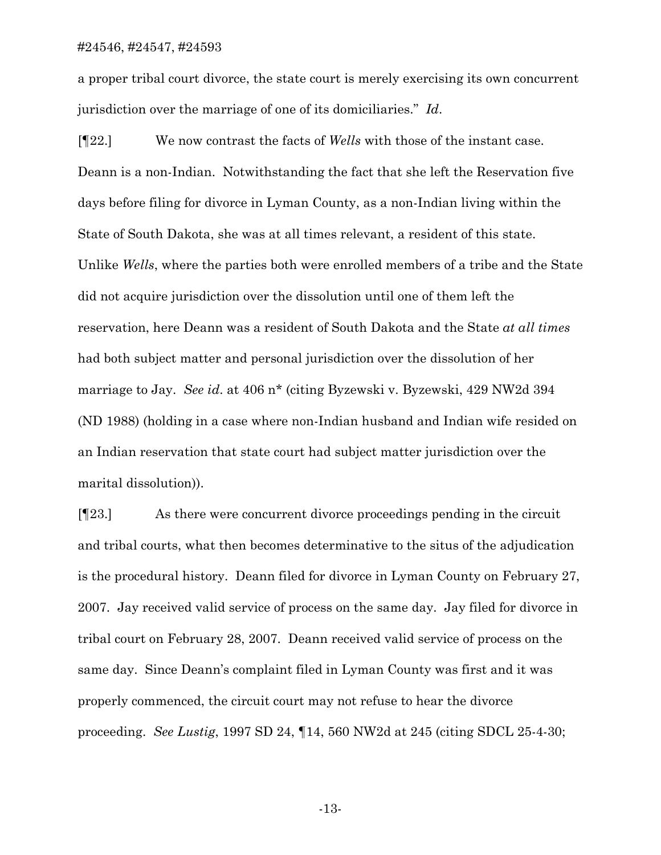a proper tribal court divorce, the state court is merely exercising its own concurrent jurisdiction over the marriage of one of its domiciliaries." *Id*.

[¶22.] We now contrast the facts of *Wells* with those of the instant case. Deann is a non-Indian. Notwithstanding the fact that she left the Reservation five days before filing for divorce in Lyman County, as a non-Indian living within the State of South Dakota, she was at all times relevant, a resident of this state. Unlike *Wells*, where the parties both were enrolled members of a tribe and the State did not acquire jurisdiction over the dissolution until one of them left the reservation, here Deann was a resident of South Dakota and the State *at all times* had both subject matter and personal jurisdiction over the dissolution of her marriage to Jay. *See id*. at 406 n\* (citing Byzewski v. Byzewski, 429 NW2d 394 (ND 1988) (holding in a case where non-Indian husband and Indian wife resided on an Indian reservation that state court had subject matter jurisdiction over the marital dissolution)).

[¶23.] As there were concurrent divorce proceedings pending in the circuit and tribal courts, what then becomes determinative to the situs of the adjudication is the procedural history. Deann filed for divorce in Lyman County on February 27, 2007. Jay received valid service of process on the same day. Jay filed for divorce in tribal court on February 28, 2007. Deann received valid service of process on the same day. Since Deann's complaint filed in Lyman County was first and it was properly commenced, the circuit court may not refuse to hear the divorce proceeding. *See Lustig*, 1997 SD 24, ¶14, 560 NW2d at 245 (citing SDCL 25-4-30;

-13-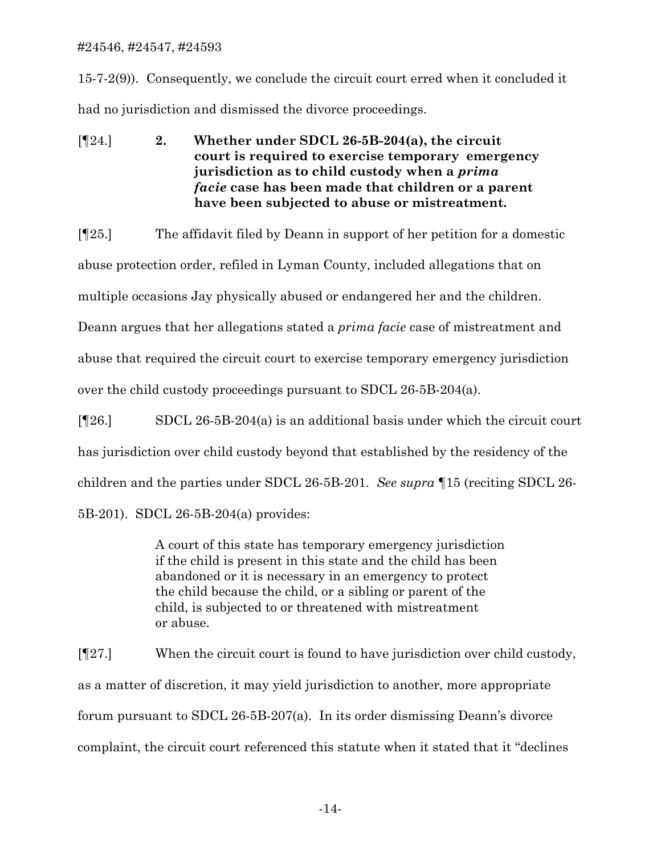15-7-2(9)). Consequently, we conclude the circuit court erred when it concluded it had no jurisdiction and dismissed the divorce proceedings.

[¶24.] **2. Whether under SDCL 26-5B-204(a), the circuit court is required to exercise temporary emergency jurisdiction as to child custody when a** *prima facie* **case has been made that children or a parent have been subjected to abuse or mistreatment.**

[¶25.] The affidavit filed by Deann in support of her petition for a domestic abuse protection order, refiled in Lyman County, included allegations that on multiple occasions Jay physically abused or endangered her and the children. Deann argues that her allegations stated a *prima facie* case of mistreatment and abuse that required the circuit court to exercise temporary emergency jurisdiction over the child custody proceedings pursuant to SDCL 26-5B-204(a).

[¶26.] SDCL 26-5B-204(a) is an additional basis under which the circuit court has jurisdiction over child custody beyond that established by the residency of the children and the parties under SDCL 26-5B-201. *See supra* ¶15 (reciting SDCL 26- 5B-201). SDCL 26-5B-204(a) provides:

> A court of this state has temporary emergency jurisdiction if the child is present in this state and the child has been abandoned or it is necessary in an emergency to protect the child because the child, or a sibling or parent of the child, is subjected to or threatened with mistreatment or abuse.

[¶27.] When the circuit court is found to have jurisdiction over child custody, as a matter of discretion, it may yield jurisdiction to another, more appropriate forum pursuant to SDCL 26-5B-207(a). In its order dismissing Deann's divorce complaint, the circuit court referenced this statute when it stated that it "declines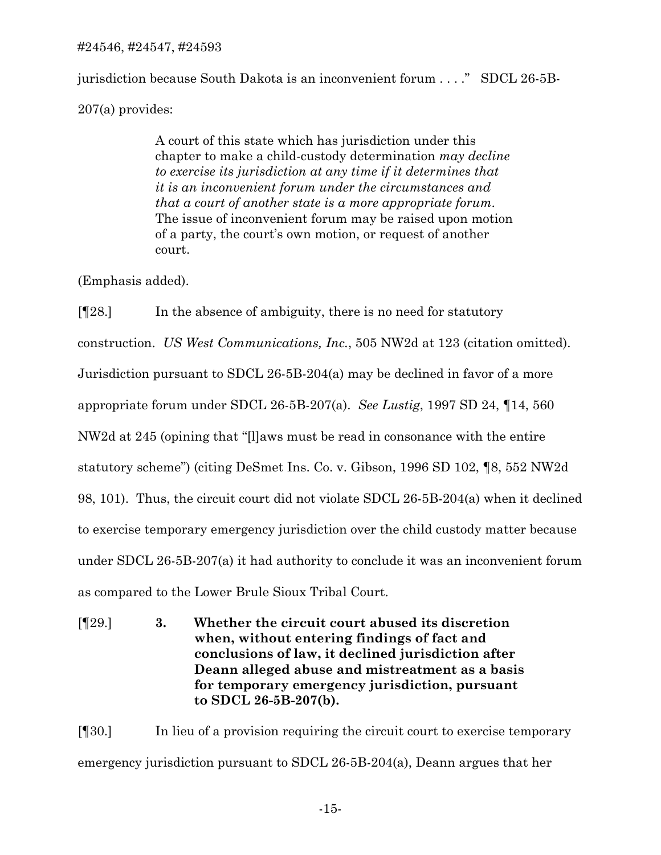jurisdiction because South Dakota is an inconvenient forum . . . ." SDCL 26-5B-207(a) provides:

> A court of this state which has jurisdiction under this chapter to make a child-custody determination *may decline to exercise its jurisdiction at any time if it determines that it is an inconvenient forum under the circumstances and that a court of another state is a more appropriate forum*. The issue of inconvenient forum may be raised upon motion of a party, the court's own motion, or request of another court.

(Emphasis added).

[¶28.] In the absence of ambiguity, there is no need for statutory construction. *US West Communications, Inc.*, 505 NW2d at 123 (citation omitted). Jurisdiction pursuant to SDCL 26-5B-204(a) may be declined in favor of a more appropriate forum under SDCL 26-5B-207(a). *See Lustig*, 1997 SD 24, ¶14, 560 NW2d at 245 (opining that "[l]aws must be read in consonance with the entire statutory scheme") (citing DeSmet Ins. Co. v. Gibson, 1996 SD 102, ¶8, 552 NW2d 98, 101). Thus, the circuit court did not violate SDCL 26-5B-204(a) when it declined to exercise temporary emergency jurisdiction over the child custody matter because under SDCL 26-5B-207(a) it had authority to conclude it was an inconvenient forum as compared to the Lower Brule Sioux Tribal Court.

[¶29.] **3. Whether the circuit court abused its discretion when, without entering findings of fact and conclusions of law, it declined jurisdiction after Deann alleged abuse and mistreatment as a basis for temporary emergency jurisdiction, pursuant to SDCL 26-5B-207(b).**

[¶30.] In lieu of a provision requiring the circuit court to exercise temporary emergency jurisdiction pursuant to SDCL 26-5B-204(a), Deann argues that her

-15-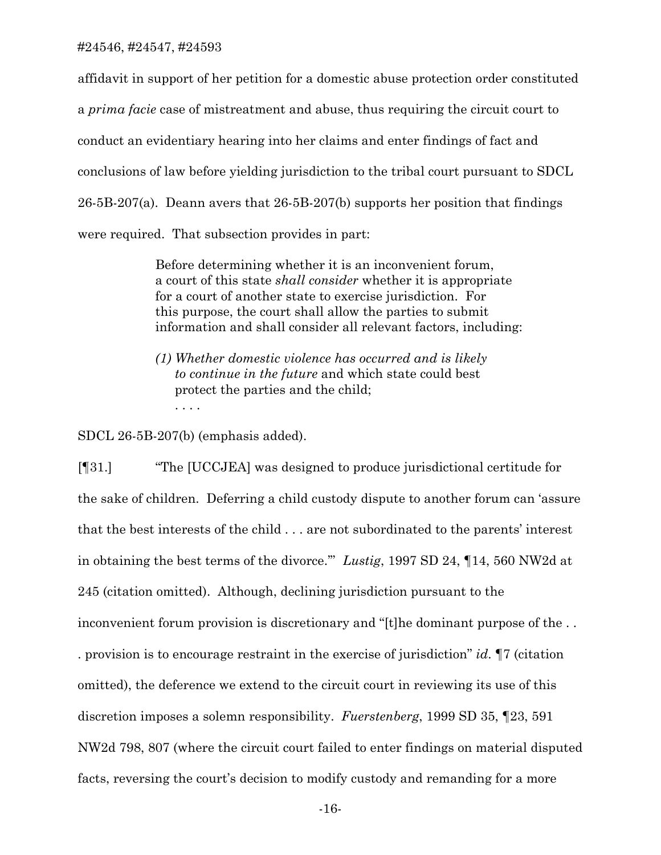affidavit in support of her petition for a domestic abuse protection order constituted a *prima facie* case of mistreatment and abuse, thus requiring the circuit court to conduct an evidentiary hearing into her claims and enter findings of fact and conclusions of law before yielding jurisdiction to the tribal court pursuant to SDCL 26-5B-207(a). Deann avers that 26-5B-207(b) supports her position that findings were required. That subsection provides in part:

> Before determining whether it is an inconvenient forum, a court of this state *shall consider* whether it is appropriate for a court of another state to exercise jurisdiction. For this purpose, the court shall allow the parties to submit information and shall consider all relevant factors, including:

*(1) Whether domestic violence has occurred and is likely to continue in the future* and which state could best protect the parties and the child; . . . .

SDCL 26-5B-207(b) (emphasis added).

[¶31.] "The [UCCJEA] was designed to produce jurisdictional certitude for the sake of children. Deferring a child custody dispute to another forum can 'assure that the best interests of the child . . . are not subordinated to the parents' interest in obtaining the best terms of the divorce.'" *Lustig*, 1997 SD 24, ¶14, 560 NW2d at 245 (citation omitted). Although, declining jurisdiction pursuant to the inconvenient forum provision is discretionary and "[t]he dominant purpose of the . . . provision is to encourage restraint in the exercise of jurisdiction" *id*. ¶7 (citation omitted), the deference we extend to the circuit court in reviewing its use of this discretion imposes a solemn responsibility. *Fuerstenberg*, 1999 SD 35, ¶23, 591 NW2d 798, 807 (where the circuit court failed to enter findings on material disputed facts, reversing the court's decision to modify custody and remanding for a more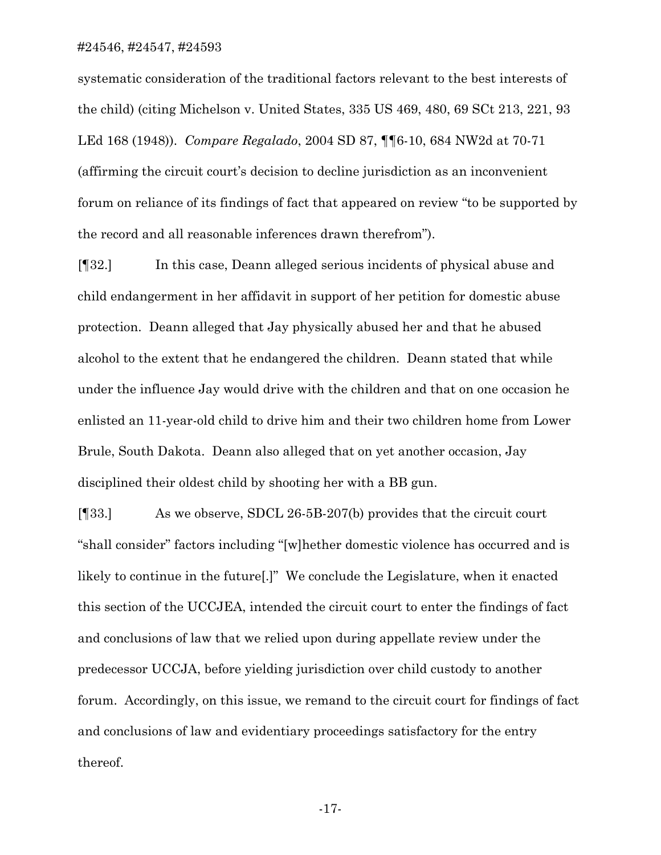systematic consideration of the traditional factors relevant to the best interests of the child) (citing Michelson v. United States, 335 US 469, 480, 69 SCt 213, 221, 93 LEd 168 (1948)). *Compare Regalado*, 2004 SD 87, ¶¶6-10, 684 NW2d at 70-71 (affirming the circuit court's decision to decline jurisdiction as an inconvenient forum on reliance of its findings of fact that appeared on review "to be supported by the record and all reasonable inferences drawn therefrom").

[¶32.] In this case, Deann alleged serious incidents of physical abuse and child endangerment in her affidavit in support of her petition for domestic abuse protection. Deann alleged that Jay physically abused her and that he abused alcohol to the extent that he endangered the children. Deann stated that while under the influence Jay would drive with the children and that on one occasion he enlisted an 11-year-old child to drive him and their two children home from Lower Brule, South Dakota. Deann also alleged that on yet another occasion, Jay disciplined their oldest child by shooting her with a BB gun.

[¶33.] As we observe, SDCL 26-5B-207(b) provides that the circuit court "shall consider" factors including "[w]hether domestic violence has occurred and is likely to continue in the future[.]" We conclude the Legislature, when it enacted this section of the UCCJEA, intended the circuit court to enter the findings of fact and conclusions of law that we relied upon during appellate review under the predecessor UCCJA, before yielding jurisdiction over child custody to another forum. Accordingly, on this issue, we remand to the circuit court for findings of fact and conclusions of law and evidentiary proceedings satisfactory for the entry thereof.

-17-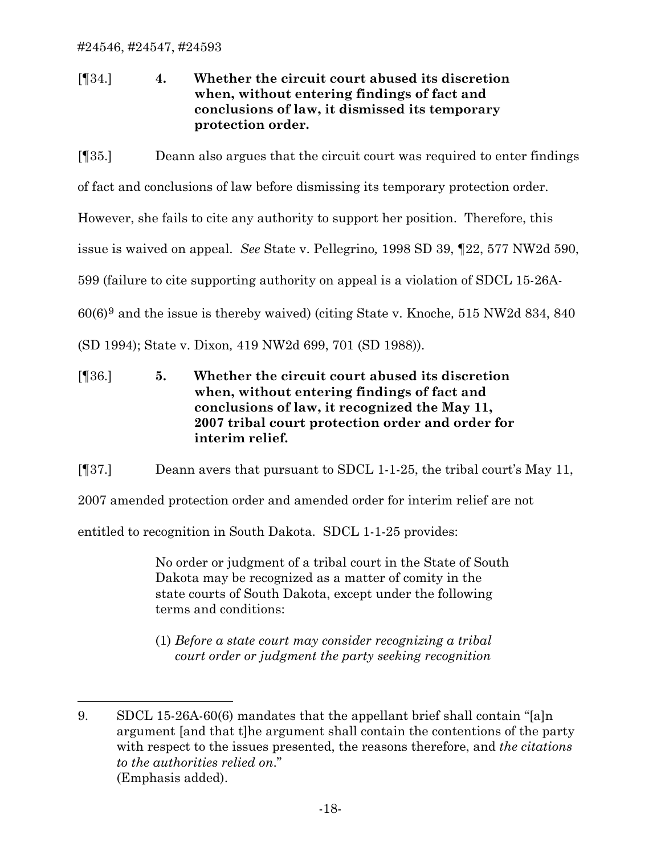$\overline{a}$ 

[¶34.] **4. Whether the circuit court abused its discretion when, without entering findings of fact and conclusions of law, it dismissed its temporary protection order.**

[¶35.] Deann also argues that the circuit court was required to enter findings

of fact and conclusions of law before dismissing its temporary protection order.

However, she fails to cite any authority to support her position. Therefore, this

issue is waived on appeal. *See* State v. Pellegrino*,* 1998 SD 39, ¶22, 577 NW2d 590,

599 (failure to cite supporting authority on appeal is a violation of SDCL 15-26A-

60(6)[9](#page-18-0) and the issue is thereby waived) (citing State v. Knoche*,* 515 NW2d 834, 840

(SD 1994); State v. Dixon*,* 419 NW2d 699, 701 (SD 1988)).

[¶36.] **5. Whether the circuit court abused its discretion when, without entering findings of fact and conclusions of law, it recognized the May 11, 2007 tribal court protection order and order for interim relief.** 

[¶37.] Deann avers that pursuant to SDCL 1-1-25, the tribal court's May 11,

2007 amended protection order and amended order for interim relief are not

entitled to recognition in South Dakota. SDCL 1-1-25 provides:

 No order or judgment of a tribal court in the State of South Dakota may be recognized as a matter of comity in the state courts of South Dakota, except under the following terms and conditions:

(1) *Before a state court may consider recognizing a tribal court order or judgment the party seeking recognition* 

<span id="page-18-0"></span><sup>9.</sup> SDCL 15-26A-60(6) mandates that the appellant brief shall contain "[a]n argument [and that t]he argument shall contain the contentions of the party with respect to the issues presented, the reasons therefore, and *the citations to the authorities relied on*." (Emphasis added).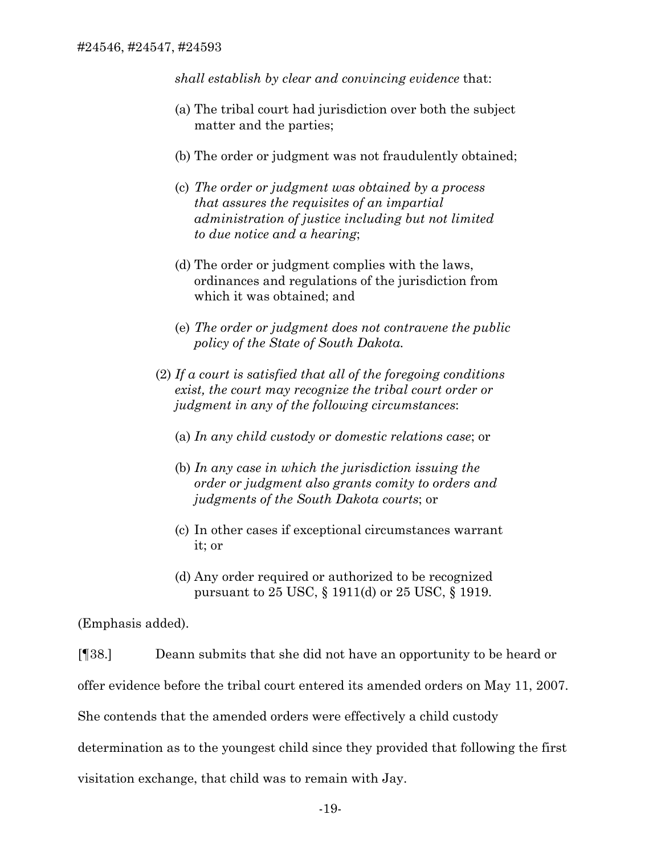*shall establish by clear and convincing evidence* that:

- (a) The tribal court had jurisdiction over both the subject matter and the parties;
- (b) The order or judgment was not fraudulently obtained;
- (c) *The order or judgment was obtained by a process that assures the requisites of an impartial administration of justice including but not limited to due notice and a hearing*;
- (d) The order or judgment complies with the laws, ordinances and regulations of the jurisdiction from which it was obtained; and
- (e) *The order or judgment does not contravene the public policy of the State of South Dakota.*
- (2) *If a court is satisfied that all of the foregoing conditions exist, the court may recognize the tribal court order or judgment in any of the following circumstances*:
	- (a) *In any child custody or domestic relations case*; or
	- (b) *In any case in which the jurisdiction issuing the order or judgment also grants comity to orders and judgments of the South Dakota courts*; or
	- (c) In other cases if exceptional circumstances warrant it; or
	- (d) Any order required or authorized to be recognized pursuant to 25 USC, § 1911(d) or 25 USC, § 1919.

(Emphasis added).

[¶38.] Deann submits that she did not have an opportunity to be heard or offer evidence before the tribal court entered its amended orders on May 11, 2007. She contends that the amended orders were effectively a child custody determination as to the youngest child since they provided that following the first visitation exchange, that child was to remain with Jay.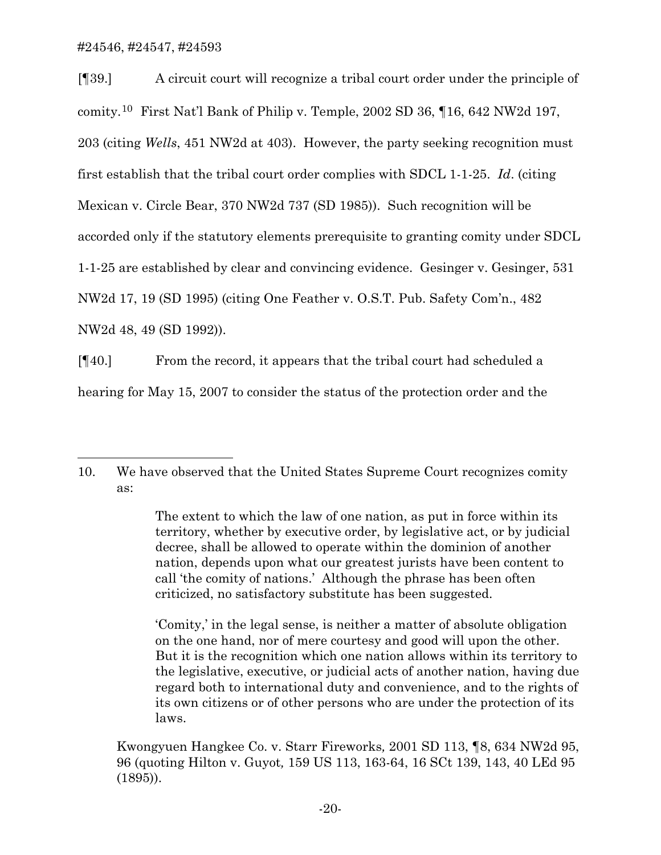$\overline{a}$ 

[¶39.] A circuit court will recognize a tribal court order under the principle of comity.[10](#page-20-0) First Nat'l Bank of Philip v. Temple, 2002 SD 36, ¶16, 642 NW2d 197, 203 (citing *Wells*, 451 NW2d at 403). However, the party seeking recognition must first establish that the tribal court order complies with SDCL 1-1-25. *Id*. (citing Mexican v. Circle Bear, 370 NW2d 737 (SD 1985)). Such recognition will be accorded only if the statutory elements prerequisite to granting comity under SDCL 1-1-25 are established by clear and convincing evidence. Gesinger v. Gesinger, 531 NW2d 17, 19 (SD 1995) (citing One Feather v. O.S.T. Pub. Safety Com'n., 482 NW2d 48, 49 (SD 1992)).

[¶40.] From the record, it appears that the tribal court had scheduled a hearing for May 15, 2007 to consider the status of the protection order and the

'Comity,' in the legal sense, is neither a matter of absolute obligation on the one hand, nor of mere courtesy and good will upon the other. But it is the recognition which one nation allows within its territory to the legislative, executive, or judicial acts of another nation, having due regard both to international duty and convenience, and to the rights of its own citizens or of other persons who are under the protection of its laws.

 Kwongyuen Hangkee Co. v. Starr Fireworks*,* 2001 SD 113, ¶8, 634 NW2d 95, 96 (quoting Hilton v. Guyot*,* 159 US 113, 163-64, 16 SCt 139, 143, 40 LEd 95 (1895)).

<span id="page-20-0"></span><sup>10.</sup> We have observed that the United States Supreme Court recognizes comity as:

The extent to which the law of one nation, as put in force within its territory, whether by executive order, by legislative act, or by judicial decree, shall be allowed to operate within the dominion of another nation, depends upon what our greatest jurists have been content to call 'the comity of nations.' Although the phrase has been often criticized, no satisfactory substitute has been suggested.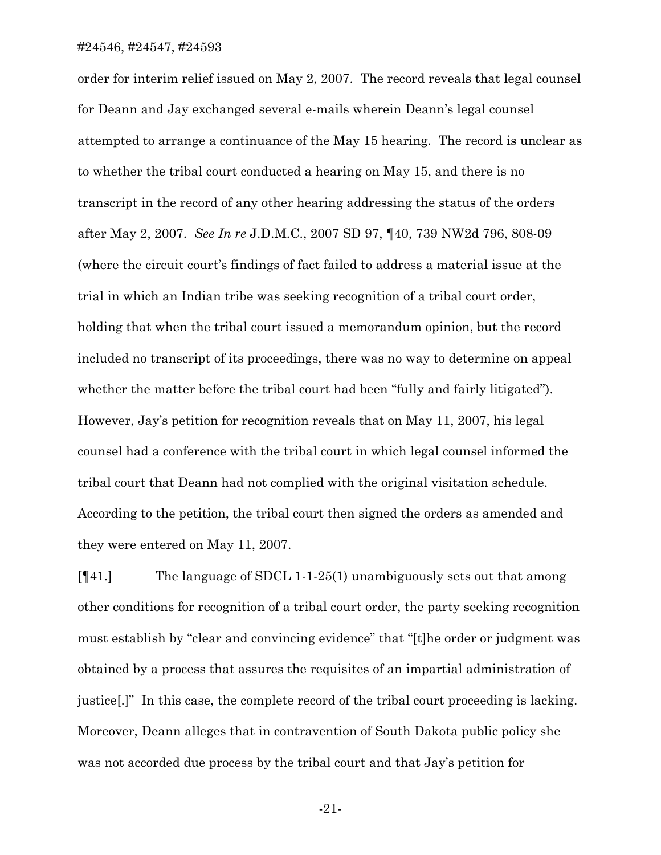order for interim relief issued on May 2, 2007. The record reveals that legal counsel for Deann and Jay exchanged several e-mails wherein Deann's legal counsel attempted to arrange a continuance of the May 15 hearing. The record is unclear as to whether the tribal court conducted a hearing on May 15, and there is no transcript in the record of any other hearing addressing the status of the orders after May 2, 2007. *See In re* J.D.M.C., 2007 SD 97, ¶40, 739 NW2d 796, 808-09 (where the circuit court's findings of fact failed to address a material issue at the trial in which an Indian tribe was seeking recognition of a tribal court order, holding that when the tribal court issued a memorandum opinion, but the record included no transcript of its proceedings, there was no way to determine on appeal whether the matter before the tribal court had been "fully and fairly litigated"). However, Jay's petition for recognition reveals that on May 11, 2007, his legal counsel had a conference with the tribal court in which legal counsel informed the tribal court that Deann had not complied with the original visitation schedule. According to the petition, the tribal court then signed the orders as amended and they were entered on May 11, 2007.

[¶41.] The language of SDCL 1-1-25(1) unambiguously sets out that among other conditions for recognition of a tribal court order, the party seeking recognition must establish by "clear and convincing evidence" that "[t]he order or judgment was obtained by a process that assures the requisites of an impartial administration of justice[.]" In this case, the complete record of the tribal court proceeding is lacking. Moreover, Deann alleges that in contravention of South Dakota public policy she was not accorded due process by the tribal court and that Jay's petition for

-21-